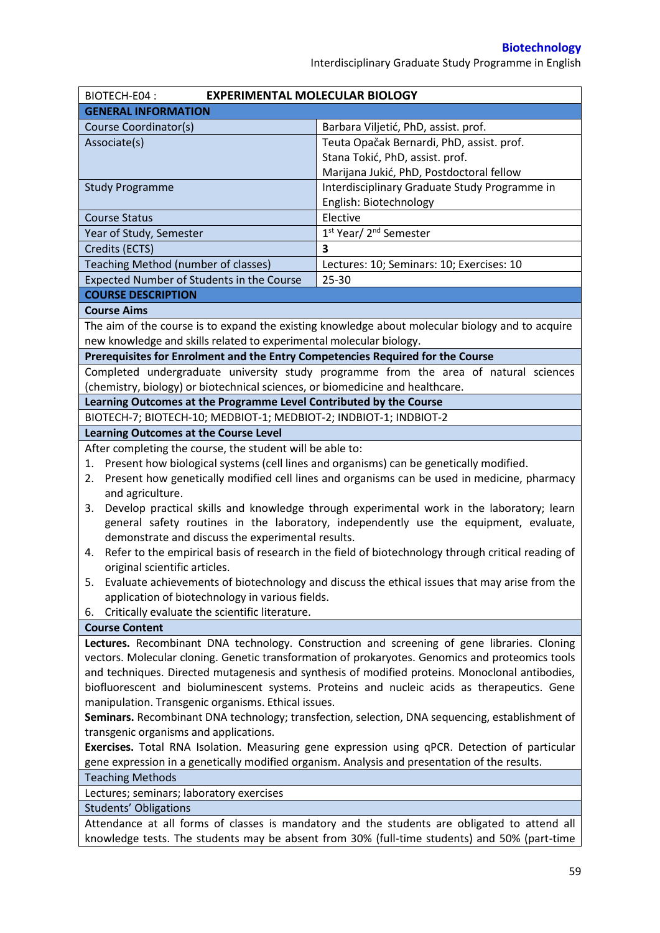Interdisciplinary Graduate Study Programme in English

| BIOTECH-E04:<br><b>EXPERIMENTAL MOLECULAR BIOLOGY</b>                                            |                                                                                                    |  |  |  |
|--------------------------------------------------------------------------------------------------|----------------------------------------------------------------------------------------------------|--|--|--|
| <b>GENERAL INFORMATION</b>                                                                       |                                                                                                    |  |  |  |
| Course Coordinator(s)                                                                            | Barbara Viljetić, PhD, assist. prof.                                                               |  |  |  |
| Associate(s)                                                                                     | Teuta Opačak Bernardi, PhD, assist. prof.                                                          |  |  |  |
|                                                                                                  | Stana Tokić, PhD, assist. prof.                                                                    |  |  |  |
|                                                                                                  | Marijana Jukić, PhD, Postdoctoral fellow                                                           |  |  |  |
| <b>Study Programme</b>                                                                           | Interdisciplinary Graduate Study Programme in                                                      |  |  |  |
|                                                                                                  | English: Biotechnology                                                                             |  |  |  |
| <b>Course Status</b>                                                                             | Elective                                                                                           |  |  |  |
| Year of Study, Semester                                                                          | 1st Year/ 2 <sup>nd</sup> Semester                                                                 |  |  |  |
| Credits (ECTS)                                                                                   | 3                                                                                                  |  |  |  |
| Teaching Method (number of classes)                                                              | Lectures: 10; Seminars: 10; Exercises: 10                                                          |  |  |  |
| Expected Number of Students in the Course                                                        | $25 - 30$                                                                                          |  |  |  |
| <b>COURSE DESCRIPTION</b>                                                                        |                                                                                                    |  |  |  |
| <b>Course Aims</b>                                                                               |                                                                                                    |  |  |  |
|                                                                                                  | The aim of the course is to expand the existing knowledge about molecular biology and to acquire   |  |  |  |
| new knowledge and skills related to experimental molecular biology.                              |                                                                                                    |  |  |  |
| Prerequisites for Enrolment and the Entry Competencies Required for the Course                   |                                                                                                    |  |  |  |
|                                                                                                  | Completed undergraduate university study programme from the area of natural sciences               |  |  |  |
| (chemistry, biology) or biotechnical sciences, or biomedicine and healthcare.                    |                                                                                                    |  |  |  |
| Learning Outcomes at the Programme Level Contributed by the Course                               |                                                                                                    |  |  |  |
| BIOTECH-7; BIOTECH-10; MEDBIOT-1; MEDBIOT-2; INDBIOT-1; INDBIOT-2                                |                                                                                                    |  |  |  |
| <b>Learning Outcomes at the Course Level</b>                                                     |                                                                                                    |  |  |  |
| After completing the course, the student will be able to:                                        |                                                                                                    |  |  |  |
| 1.                                                                                               | Present how biological systems (cell lines and organisms) can be genetically modified.             |  |  |  |
| 2.                                                                                               | Present how genetically modified cell lines and organisms can be used in medicine, pharmacy        |  |  |  |
| and agriculture.                                                                                 |                                                                                                    |  |  |  |
| 3.                                                                                               | Develop practical skills and knowledge through experimental work in the laboratory; learn          |  |  |  |
| general safety routines in the laboratory, independently use the equipment, evaluate,            |                                                                                                    |  |  |  |
| demonstrate and discuss the experimental results.                                                |                                                                                                    |  |  |  |
| 4.                                                                                               | Refer to the empirical basis of research in the field of biotechnology through critical reading of |  |  |  |
| original scientific articles.                                                                    |                                                                                                    |  |  |  |
|                                                                                                  | 5. Evaluate achievements of biotechnology and discuss the ethical issues that may arise from the   |  |  |  |
| application of biotechnology in various fields.                                                  |                                                                                                    |  |  |  |
| Critically evaluate the scientific literature.<br>6.                                             |                                                                                                    |  |  |  |
| <b>Course Content</b>                                                                            |                                                                                                    |  |  |  |
|                                                                                                  | Lectures. Recombinant DNA technology. Construction and screening of gene libraries. Cloning        |  |  |  |
| vectors. Molecular cloning. Genetic transformation of prokaryotes. Genomics and proteomics tools |                                                                                                    |  |  |  |
| and techniques. Directed mutagenesis and synthesis of modified proteins. Monoclonal antibodies,  |                                                                                                    |  |  |  |
| biofluorescent and bioluminescent systems. Proteins and nucleic acids as therapeutics. Gene      |                                                                                                    |  |  |  |
| manipulation. Transgenic organisms. Ethical issues.                                              |                                                                                                    |  |  |  |
| Seminars. Recombinant DNA technology; transfection, selection, DNA sequencing, establishment of  |                                                                                                    |  |  |  |
| transgenic organisms and applications.                                                           |                                                                                                    |  |  |  |
| Exercises. Total RNA Isolation. Measuring gene expression using qPCR. Detection of particular    |                                                                                                    |  |  |  |
| gene expression in a genetically modified organism. Analysis and presentation of the results.    |                                                                                                    |  |  |  |
| <b>Teaching Methods</b>                                                                          |                                                                                                    |  |  |  |
| Lectures; seminars; laboratory exercises                                                         |                                                                                                    |  |  |  |
| <b>Students' Obligations</b>                                                                     |                                                                                                    |  |  |  |
| Attendance at all forms of classes is mandatory and the students are obligated to attend all     |                                                                                                    |  |  |  |
|                                                                                                  | knowledge tests. The students may be absent from 30% (full-time students) and 50% (part-time       |  |  |  |
|                                                                                                  |                                                                                                    |  |  |  |
|                                                                                                  | r n                                                                                                |  |  |  |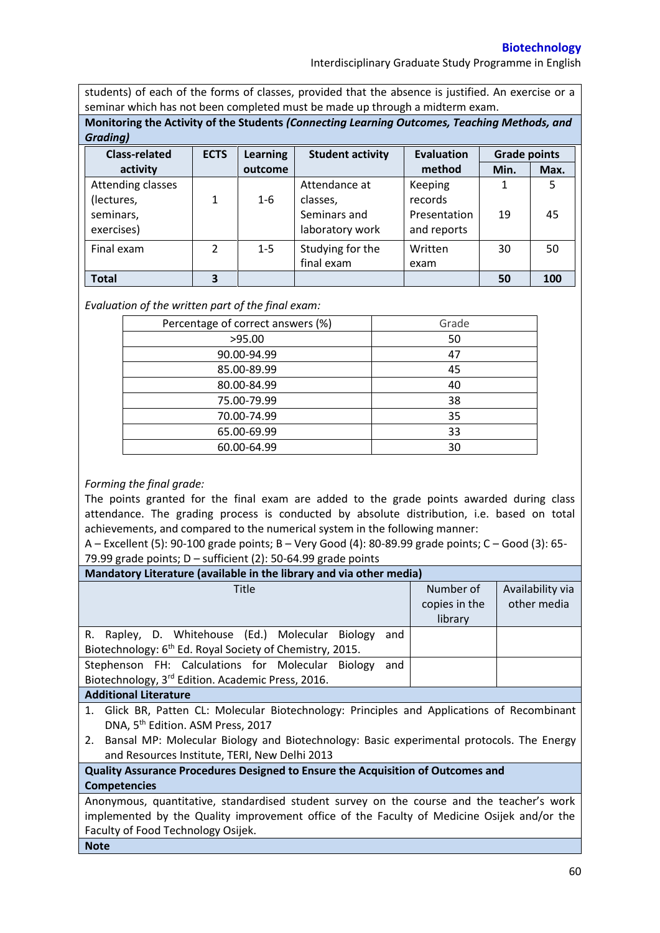## **Biotechnology**

Interdisciplinary Graduate Study Programme in English

students) of each of the forms of classes, provided that the absence is justified. An exercise or a seminar which has not been completed must be made up through a midterm exam.

**Monitoring the Activity of the Students** *(Connecting Learning Outcomes, Teaching Methods, and Grading)*

| <b>Class-related</b>                                       | <b>ECTS</b> | <b>Learning</b> | <b>Student activity</b>                                      | <b>Evaluation</b>                                 | <b>Grade points</b> |         |
|------------------------------------------------------------|-------------|-----------------|--------------------------------------------------------------|---------------------------------------------------|---------------------|---------|
| activity                                                   |             | outcome         |                                                              | method                                            | Min.                | Max.    |
| Attending classes<br>(lectures,<br>seminars,<br>exercises) | 1           | $1 - 6$         | Attendance at<br>classes,<br>Seminars and<br>laboratory work | Keeping<br>records<br>Presentation<br>and reports | 19                  | 5<br>45 |
| Final exam                                                 | 2           | $1 - 5$         | Studying for the<br>final exam                               | Written<br>exam                                   | 30                  | 50      |
| <b>Total</b>                                               | 3           |                 |                                                              |                                                   | 50                  | 100     |

## *Evaluation of the written part of the final exam:*

| Percentage of correct answers (%) | Grade |
|-----------------------------------|-------|
| >95.00                            | 50    |
| 90.00-94.99                       | 47    |
| 85.00-89.99                       | 45    |
| 80.00-84.99                       | 40    |
| 75.00-79.99                       | 38    |
| 70.00-74.99                       | 35    |
| 65.00-69.99                       | 33    |
| 60.00-64.99                       | 30    |

## *Forming the final grade:*

The points granted for the final exam are added to the grade points awarded during class attendance. The grading process is conducted by absolute distribution, i.e. based on total achievements, and compared to the numerical system in the following manner:

A – Excellent (5): 90-100 grade points; B – Very Good (4): 80-89.99 grade points; C – Good (3): 65- 79.99 grade points;  $D$  – sufficient (2): 50-64.99 grade points

| Mandatory Literature (available in the library and via other media)                            |               |                  |  |  |  |  |
|------------------------------------------------------------------------------------------------|---------------|------------------|--|--|--|--|
| Title                                                                                          | Number of     | Availability via |  |  |  |  |
|                                                                                                | copies in the | other media      |  |  |  |  |
|                                                                                                | library       |                  |  |  |  |  |
| R. Rapley, D. Whitehouse (Ed.) Molecular Biology<br>and                                        |               |                  |  |  |  |  |
| Biotechnology: 6 <sup>th</sup> Ed. Royal Society of Chemistry, 2015.                           |               |                  |  |  |  |  |
| Stephenson FH: Calculations for Molecular Biology<br>and                                       |               |                  |  |  |  |  |
| Biotechnology, 3 <sup>rd</sup> Edition. Academic Press, 2016.                                  |               |                  |  |  |  |  |
| <b>Additional Literature</b>                                                                   |               |                  |  |  |  |  |
| 1. Glick BR, Patten CL: Molecular Biotechnology: Principles and Applications of Recombinant    |               |                  |  |  |  |  |
| DNA, 5 <sup>th</sup> Edition. ASM Press, 2017                                                  |               |                  |  |  |  |  |
| Bansal MP: Molecular Biology and Biotechnology: Basic experimental protocols. The Energy<br>2. |               |                  |  |  |  |  |
| and Resources Institute, TERI, New Delhi 2013                                                  |               |                  |  |  |  |  |
| Quality Assurance Procedures Designed to Ensure the Acquisition of Outcomes and                |               |                  |  |  |  |  |
| <b>Competencies</b>                                                                            |               |                  |  |  |  |  |
| Anonymous, quantitative, standardised student survey on the course and the teacher's work      |               |                  |  |  |  |  |
| implemented by the Quality improvement office of the Faculty of Medicine Osijek and/or the     |               |                  |  |  |  |  |
| Faculty of Food Technology Osijek.                                                             |               |                  |  |  |  |  |
| <b>Note</b>                                                                                    |               |                  |  |  |  |  |